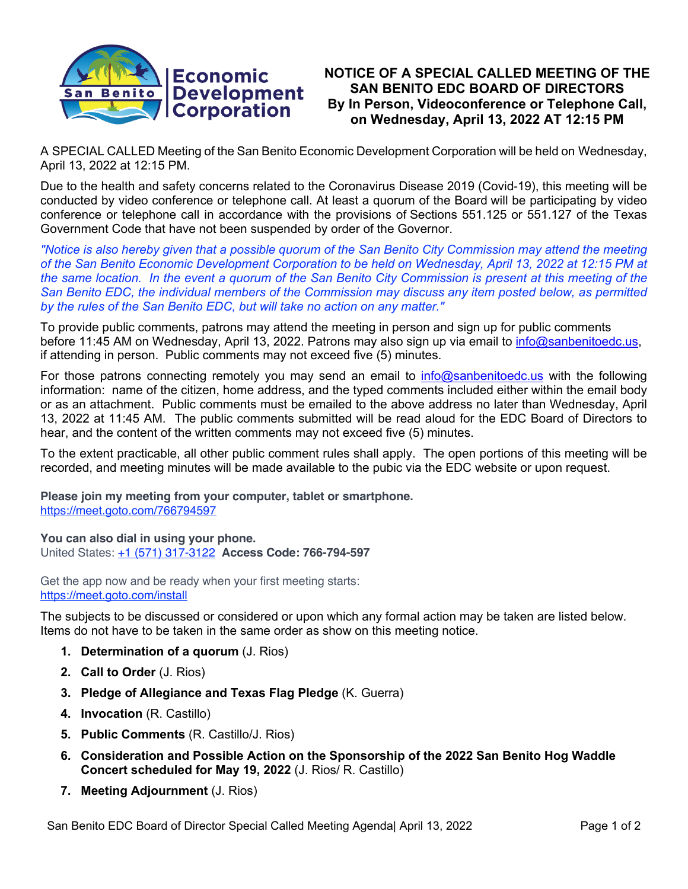

## **NOTICE OF A SPECIAL CALLED MEETING OF THE SAN BENITO EDC BOARD OF DIRECTORS By In Person, Videoconference or Telephone Call, on Wednesday, April 13, 2022 AT 12:15 PM**

A SPECIAL CALLED Meeting of the San Benito Economic Development Corporation will be held on Wednesday, April 13, 2022 at 12:15 PM.

Due to the health and safety concerns related to the Coronavirus Disease 2019 (Covid-19), this meeting will be conducted by video conference or telephone call. At least a quorum of the Board will be participating by video conference or telephone call in accordance with the provisions of Sections 551.125 or 551.127 of the Texas Government Code that have not been suspended by order of the Governor.

*"Notice is also hereby given that a possible quorum of the San Benito City Commission may attend the meeting of the San Benito Economic Development Corporation to be held on Wednesday, April 13, 2022 at 12:15 PM at the same location. In the event a quorum of the San Benito City Commission is present at this meeting of the San Benito EDC, the individual members of the Commission may discuss any item posted below, as permitted by the rules of the San Benito EDC, but will take no action on any matter."*

To provide public comments, patrons may attend the meeting in person and sign up for public comments before 11:45 AM on Wednesday, April 13, 2022. Patrons may also sign up via email to info@sanbenitoedc.us, if attending in person. Public comments may not exceed five (5) minutes.

For those patrons connecting remotely you may send an email to info@sanbenitoedc.us with the following information: name of the citizen, home address, and the typed comments included either within the email body or as an attachment. Public comments must be emailed to the above address no later than Wednesday, April 13, 2022 at 11:45 AM. The public comments submitted will be read aloud for the EDC Board of Directors to hear, and the content of the written comments may not exceed five (5) minutes.

To the extent practicable, all other public comment rules shall apply. The open portions of this meeting will be recorded, and meeting minutes will be made available to the pubic via the EDC website or upon request.

**Please join my meeting from your computer, tablet or smartphone.** https://meet.goto.com/766794597

**You can also dial in using your phone.** United States: +1 (571) 317-3122 **Access Code: 766-794-597**

Get the app now and be ready when your first meeting starts: https://meet.goto.com/install

The subjects to be discussed or considered or upon which any formal action may be taken are listed below. Items do not have to be taken in the same order as show on this meeting notice.

- **1. Determination of a quorum** (J. Rios)
- **2. Call to Order** (J. Rios)
- **3. Pledge of Allegiance and Texas Flag Pledge** (K. Guerra)
- **4. Invocation** (R. Castillo)
- **5. Public Comments** (R. Castillo/J. Rios)
- **6. Consideration and Possible Action on the Sponsorship of the 2022 San Benito Hog Waddle Concert scheduled for May 19, 2022** (J. Rios/ R. Castillo)
- **7. Meeting Adjournment** (J. Rios)